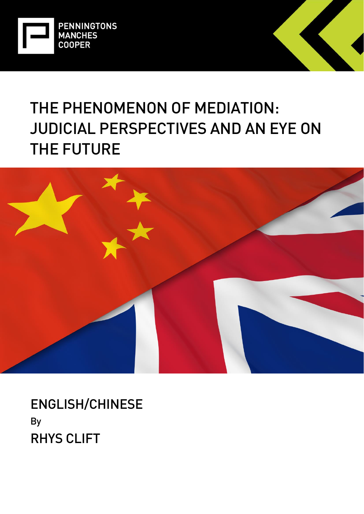





ENGLISH/CHINESE By RHYS CLIFT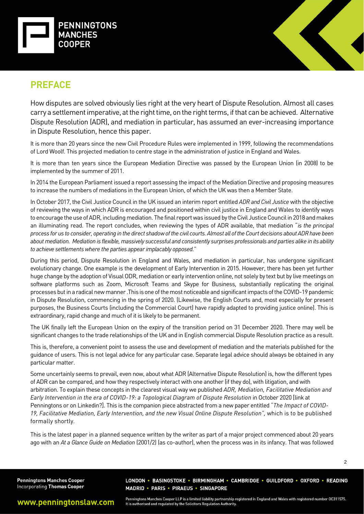



# **PREFACE**

How disputes are solved obviously lies right at the very heart of Dispute Resolution. Almost all cases carry a settlement imperative, at the right time, on the right terms, if that can be achieved. Alternative Dispute Resolution (ADR), and mediation in particular, has assumed an ever-increasing importance in Dispute Resolution, hence this paper.

It is more than 20 years since the new Civil Procedure Rules were implemented in 1999, following the recommendations of Lord Woolf. This projected mediation to centre stage in the administration of justice in England and Wales.

It is more than ten years since the European Mediation Directive was passed by the European Union (in 2008) to be implemented by the summer of 2011.

In 2014 the European Parliament issued a report assessing the impact of the Mediation Directive and proposing measures to increase the numbers of mediations in the European Union, of which the UK was then a Member State.

In October 2017, the Civil Justice Council in the UK issued an interim report entitled *ADR and Civil Justice* with the objective of reviewing the ways in which ADR is encouraged and positioned within civil justice in England and Wales to identify ways to encourage the use of ADR, including mediation. The final report was issued by the Civil Justice Council in 2018 and makes an illuminating read. The report concludes, when reviewing the types of ADR available, that mediation "*is the principal process for us to consider, operating in the direct shadow of the civil courts. Almost all of the Court decisions about ADR have been about mediation. Mediation is flexible, massively successful and consistently surprises professionals and parties alike in its ability to achieve settlements where the parties appear implacably opposed.*"

During this period, Dispute Resolution in England and Wales, and mediation in particular, has undergone significant evolutionary change. One example is the development of Early Intervention in 2015. However, there has been yet further huge change by the adoption of Visual ODR, mediation or early intervention online, not solely by text but by live meetings on software platforms such as Zoom, Microsoft Teams and Skype for Business, substantially replicating the original processes but in a radical new manner .This is one of the most noticeable and significant impacts of the COVID-19 pandemic in Dispute Resolution, commencing in the spring of 2020. (Likewise, the English Courts and, most especially for present purposes, the Business Courts (including the Commercial Court) have rapidly adapted to providing justice online). This is extraordinary, rapid change and much of it is likely to be permanent.

The UK finally left the European Union on the expiry of the transition period on 31 December 2020. There may well be significant changes to the trade relationships of the UK and in English commercial Dispute Resolution practice as a result.

This is, therefore, a convenient point to assess the use and development of mediation and the materials published for the guidance of users. This is not legal advice for any particular case. Separate legal advice should always be obtained in any particular matter.

Some uncertainly seems to prevail, even now, about what ADR (Alternative Dispute Resolution) is, how the different types of ADR can be compared, and how they respectively interact with one another (if they do), with litigation, and with arbitration. To explain these concepts in the clearest visual way we published *ADR, Mediation, Facilitative Mediation and Early Intervention in the era of COVID-19: a Topological Diagram of Dispute Resolution* in October 2020 [link at Penningtons or on Linkedin?]. This is the companion piece abstracted from a new paper entitled "*The Impact of COVID-19, Facilitative Mediation, Early Intervention, and the new Visual Online Dispute Resolution",* which is to be published formally shortly*.* 

This is the latest paper in a planned sequence written by the writer as part of a major project commenced about 20 years ago with an *At a Glance Guide on Mediation* (2001/2) (as co-author), when the process was in its infancy. That was followed

**Penningtons Manches Cooper Incorporating Thomas Cooper** 

www.penningtonslaw.com

LONDON . BASINGSTOKE . BIRMINGHAM . CAMBRIDGE . GUILDFORD . OXFORD . READING **MADRID · PARIS · PIRAEUS · SINGAPORE**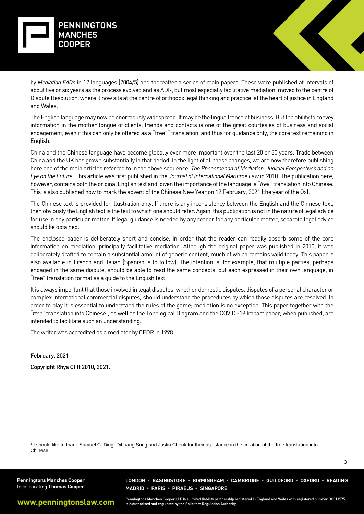

by *Mediation FAQs* in 12 languages (2004/5) and thereafter a series of main papers. These were published at intervals of about five or six years as the process evolved and as ADR, but most especially facilitative mediation, moved to the centre of Dispute Resolution, where it now sits at the centre of orthodox legal thinking and practice, at the heart of justice in England and Wales.

The English language may now be enormously widespread. It may be the lingua franca of business. But the ability to convey information in the mother tongue of clients, friends and contacts is one of the great courtesies of business and social engagement, even if this can only be offered as a "free"" translation, and thus for guidance only, the core text remaining in English.

China and the Chinese language have become globally ever more important over the last 20 or 30 years. Trade between China and the UK has grown substantially in that period. In the light of all these changes, we are now therefore publishing here one of the main articles referred to in the above sequence: *The Phenomenon of Mediation, Judicial Perspectives and an Eye on the Future*. This article was first published in the *Journal of International Maritime Law* in 2010. The publication here, however, contains both the original English text and, given the importance of the language, a "*free*" translation into Chinese. This is also published now to mark the advent of the Chinese New Year on 12 February, 2021 (the year of the Ox).

The Chinese text is provided for illustration only. If there is any inconsistency between the English and the Chinese text, then obviously the English text is the text to which one should refer. Again, this publication is not in the nature of legal advice for use in any particular matter. If legal guidance is needed by any reader for any particular matter, separate legal advice should be obtained.

The enclosed paper is deliberately short and concise, in order that the reader can readily absorb some of the core information on mediation, principally facilitative mediation. Although the original paper was published in 2010, it was deliberately drafted to contain a substantial amount of generic content, much of which remains valid today. This paper is also available in French and Italian (Spanish is to follow). The intention is, for example, that multiple parties, perhaps engaged in the same dispute, should be able to read the same concepts, but each expressed in their own language, in "free" translation format as a guide to the English text.

It is always important that those involved in legal disputes (whether domestic disputes, disputes of a personal character or complex international commercial disputes) should understand the procedures by which those disputes are resolved. In order to play it is essential to understand the rules of the game; mediation is no exception. This paper together with the "*free*" translation into Chinese<sup>1</sup> , as well as the Topological Diagram and the COVID -19 Impact paper, when published, are intended to facilitate such an understanding.

The writer was accredited as a mediator by CEDR in 1998.

February, 2021 Copyright Rhys Clift 2010, 2021.

**Penningtons Manches Cooper Incorporating Thomas Cooper** 

www.penningtonslaw.com

LONDON . BASINGSTOKE . BIRMINGHAM . CAMBRIDGE . GUILDFORD . OXFORD . READING **MADRID · PARIS · PIRAEUS · SINGAPORE** 

 <sup>1</sup> I should like to thank Samuel C. Ding, Dihuang Song and Justin Cheuk for their assistance in the creation of the free translation into Chinese.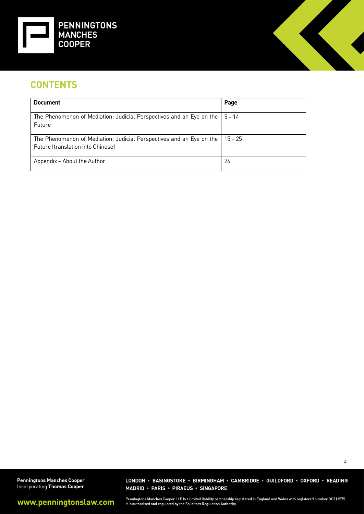



# **CONTENTS**

| <b>Document</b>                                                                                           | Page      |
|-----------------------------------------------------------------------------------------------------------|-----------|
| The Phenomenon of Mediation; Judicial Perspectives and an Eye on the<br>Future                            | $5 - 14$  |
| The Phenomenon of Mediation; Judicial Perspectives and an Eye on the<br>Future (translation into Chinese) | $15 - 25$ |
| Appendix - About the Author                                                                               | 26        |

**Penningtons Manches Cooper**<br>Incorporating Thomas Cooper

www.penningtonslaw.com

LONDON · BASINGSTOKE · BIRMINGHAM · CAMBRIDGE · GUILDFORD · OXFORD · READING **MADRID · PARIS · PIRAEUS · SINGAPORE** 

4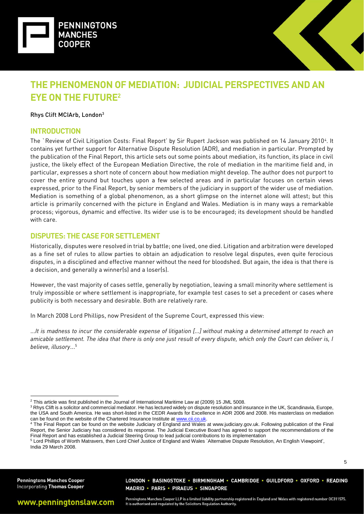



# **THE PHENOMENON OF MEDIATION: JUDICIAL PERSPECTIVES AND AN EYE ON THE FUTURE<sup>2</sup>**

Rhys Clift MCIArb, London<sup>3</sup>

### **INTRODUCTION**

The `Review of Civil Litigation Costs: Final Report' by Sir Rupert Jackson was published on 14 January 20104. It contains yet further support for Alternative Dispute Resolution (ADR), and mediation in particular. Prompted by the publication of the Final Report, this article sets out some points about mediation, its function, its place in civil justice, the likely effect of the European Mediation Directive, the role of mediation in the maritime field and, in particular, expresses a short note of concern about how mediation might develop. The author does not purport to cover the entire ground but touches upon a few selected areas and in particular focuses on certain views expressed, prior to the Final Report, by senior members of the judiciary in support of the wider use of mediation. Mediation is something of a global phenomenon, as a short glimpse on the internet alone will attest; but this article is primarily concerned with the picture in England and Wales. Mediation is in many ways a remarkable process; vigorous, dynamic and effective. Its wider use is to be encouraged; its development should be handled with care.

### **DISPUTES: THE CASE FOR SETTLEMENT**

Historically, disputes were resolved in trial by battle; one lived, one died. Litigation and arbitration were developed as a fine set of rules to allow parties to obtain an adjudication to resolve legal disputes, even quite ferocious disputes, in a disciplined and effective manner without the need for bloodshed. But again, the idea is that there is a decision, and generally a winner(s) and a loser(s).

However, the vast majority of cases settle, generally by negotiation, leaving a small minority where settlement is truly impossible or where settlement is inappropriate, for example test cases to set a precedent or cases where publicity is both necessary and desirable. Both are relatively rare.

In March 2008 Lord Phillips, now President of the Supreme Court, expressed this view:

...*It is madness to incur the considerable expense of litigation [...] without making a determined attempt to reach an amicable settlement. The idea that there is only one just result of every dispute, which only the Court can deliver is, I believe, illusory*... 5

**Penningtons Manches Cooper Incorporating Thomas Cooper** 

www.penningtonslaw.com

 <sup>2</sup> This article was first published in the Journal of International Maritime Law at (2009) 15 JML 5008.

<sup>&</sup>lt;sup>3</sup> Rhys Clift is a solicitor and commercial mediator. He has lectured widely on dispute resolution and insurance in the UK, Scandinavia, Europe, the USA and South America. He was short-listed in the CEDR Awards for Excellence in ADR 2006 and 2008. His masterclass on mediation can be found on the website of the Chartered Insurance Institute at **www.cii.co.uk.** 

<sup>&</sup>lt;sup>4</sup> The Final Report can be found on the website Judiciary of England and Wales at www.judiciary.gov.uk. Following publication of the Final Report, the Senior Judiciary has considered its response. The Judicial Executive Board has agreed to support the recommendations of the Final Report and has established a Judicial Steering Group to lead judicial contributions to its implementation

<sup>5</sup> Lord Phillips of Worth Matravers, then Lord Chief Justice of England and Wales `Alternative Dispute Resolution, An English Viewpoint', India 29 March 2008.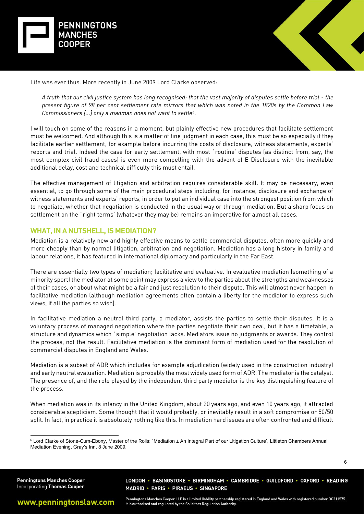



Life was ever thus. More recently in June 2009 Lord Clarke observed:

*A truth that our civil justice system has long recognised: that the vast majority of disputes settle before trial - the present figure of 98 per cent settlement rate mirrors that which was noted in the 1820s by the Common Law*  Commissioners [...] only a madman does not want to settle<sup>6</sup>.

I will touch on some of the reasons in a moment, but plainly effective new procedures that facilitate settlement must be welcomed. And although this is a matter of fine judgment in each case, this must be so especially if they facilitate earlier settlement, for example before incurring the costs of disclosure, witness statements, experts' reports and trial. Indeed the case for early settlement, with most `routine' disputes (as distinct from, say, the most complex civil fraud cases) is even more compelling with the advent of E Disclosure with the inevitable additional delay, cost and technical difficulty this must entail.

The effective management of litigation and arbitration requires considerable skill. It may be necessary, even essential, to go through some of the main procedural steps including, for instance, disclosure and exchange of witness statements and experts' reports, in order to put an individual case into the strongest position from which to negotiate, whether that negotiation is conducted in the usual way or through mediation. But a sharp focus on settlement on the `right terms' (whatever they may be) remains an imperative for almost all cases.

#### **WHAT, IN A NUTSHELL, IS MEDIATION?**

Mediation is a relatively new and highly effective means to settle commercial disputes, often more quickly and more cheaply than by normal litigation, arbitration and negotiation. Mediation has a long history in family and labour relations, it has featured in international diplomacy and particularly in the Far East.

There are essentially two types of mediation; facilitative and evaluative. In evaluative mediation (something of a minority sport) the mediator at some point may express a view to the parties about the strengths and weaknesses of their cases, or about what might be a fair and just resolution to their dispute. This will almost never happen in facilitative mediation (although mediation agreements often contain a liberty for the mediator to express such views, if all the parties so wish).

In facilitative mediation a neutral third party, a mediator, assists the parties to settle their disputes. It is a voluntary process of managed negotiation where the parties negotiate their own deal, but it has a timetable, a structure and dynamics which `simple' negotiation lacks. Mediators issue no judgments or awards. They control the process, not the result. Facilitative mediation is the dominant form of mediation used for the resolution of commercial disputes in England and Wales.

Mediation is a subset of ADR which includes for example adjudication (widely used in the construction industry) and early neutral evaluation. Mediation is probably the most widely used form of ADR. The mediator is the catalyst. The presence of, and the role played by the independent third party mediator is the key distinguishing feature of the process.

When mediation was in its infancy in the United Kingdom, about 20 years ago, and even 10 years ago, it attracted considerable scepticism. Some thought that it would probably, or inevitably result in a soft compromise or 50/50 split. In fact, in practice it is absolutely nothing like this. In mediation hard issues are often confronted and difficult

**Penningtons Manches Cooper Incorporating Thomas Cooper** 

www.penningtonslaw.com

LONDON · BASINGSTOKE · BIRMINGHAM · CAMBRIDGE · GUILDFORD · OXFORD · READING **MADRID · PARIS · PIRAEUS · SINGAPORE** 

 $6$  Lord Clarke of Stone-Cum-Ebony, Master of the Rolls: `Mediation ± An Integral Part of our Litigation Culture', Littleton Chambers Annual Mediation Evening, Gray's Inn, 8 June 2009.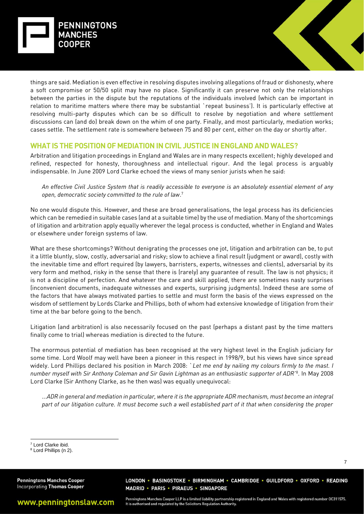

things are said. Mediation is even effective in resolving disputes involving allegations of fraud or dishonesty, where a soft compromise or 50/50 split may have no place. Significantly it can preserve not only the relationships between the parties in the dispute but the reputations of the individuals involved (which can be important in relation to maritime matters where there may be substantial `repeat business'). It is particularly effective at resolving multi-party disputes which can be so difficult to resolve by negotiation and where settlement discussions can (and do) break down on the whim of one party. Finally, and most particularly, mediation works; cases settle. The settlement rate is somewhere between 75 and 80 per cent, either on the day or shortly after.

### **WHAT IS THE POSITION OF MEDIATION IN CIVIL JUSTICE IN ENGLAND AND WALES?**

Arbitration and litigation proceedings in England and Wales are in many respects excellent; highly developed and refined, respected for honesty, thoroughness and intellectual rigour. And the legal process is arguably indispensable. In June 2009 Lord Clarke echoed the views of many senior jurists when he said:

*An effective Civil Justice System that is readily accessible to everyone is an absolutely essential element of any open, democratic society committed to the rule of law*. 7

No one would dispute this. However, and these are broad generalisations, the legal process has its deficiencies which can be remedied in suitable cases (and at a suitable time) by the use of mediation. Many of the shortcomings of litigation and arbitration apply equally wherever the legal process is conducted, whether in England and Wales or elsewhere under foreign systems of law.

What are these shortcomings? Without denigrating the processes one jot, litigation and arbitration can be, to put it a little bluntly, slow, costly, adversarial and risky; slow to achieve a final result (judgment or award), costly with the inevitable time and effort required (by lawyers, barristers, experts, witnesses and clients), adversarial by its very form and method, risky in the sense that there is (rarely) any guarantee of result. The law is not physics; it is not a discipline of perfection. And whatever the care and skill applied, there are sometimes nasty surprises (inconvenient documents, inadequate witnesses and experts, surprising judgments). Indeed these are some of the factors that have always motivated parties to settle and must form the basis of the views expressed on the wisdom of settlement by Lords Clarke and Phillips, both of whom had extensive knowledge of litigation from their time at the bar before going to the bench.

Litigation (and arbitration) is also necessarily focused on the past (perhaps a distant past by the time matters finally come to trial) whereas mediation is directed to the future.

The enormous potential of mediation has been recognised at the very highest level in the English judiciary for some time. Lord Woolf may well have been a pioneer in this respect in 1998/9, but his views have since spread widely. Lord Phillips declared his position in March 2008: `*Let me end by nailing my colours firmly to the mast. I number myself with Sir Anthony Coleman and Sir Gavin Lightman as an enthusiastic supporter of ADR'*<sup>8</sup> . In May 2008 Lord Clarke (Sir Anthony Clarke, as he then was) was equally unequivocal:

...*ADR in general and mediation in particular, where it is the appropriate ADR mechanism, must become an integral part of our litigation culture. It must become such a well established part of it that when considering the proper* 

**Penningtons Manches Cooper Incorporating Thomas Cooper** 

www.penningtonslaw.com

LONDON . BASINGSTOKE . BIRMINGHAM . CAMBRIDGE . GUILDFORD . OXFORD . READING **MADRID · PARIS · PIRAEUS · SINGAPORE** 

<sup>&</sup>lt;sup>7</sup> Lord Clarke ibid.

<sup>&</sup>lt;sup>8</sup> Lord Phillips (n 2).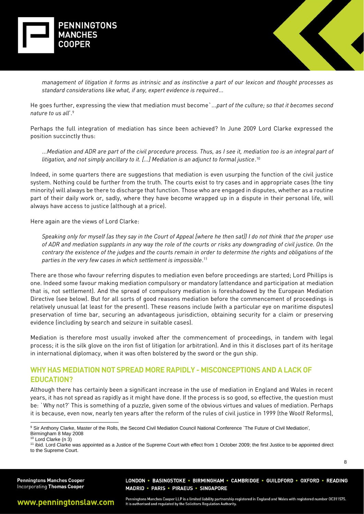



*management of litigation it forms as intrinsic and as instinctive a part of our lexicon and thought processes as standard considerations like what, if any, expert evidence is required*...

He goes further, expressing the view that mediation must become`...*part of the culture; so that it becomes second nature to us all*'.<sup>9</sup>

Perhaps the full integration of mediation has since been achieved? In June 2009 Lord Clarke expressed the position succinctly thus:

...*Mediation and ADR are part of the civil procedure process. Thus, as I see it, mediation too is an integral part of litigation, and not simply ancillary to it. [...] Mediation is an adjunct to formal justice*. 10

Indeed, in some quarters there are suggestions that mediation is even usurping the function of the civil justice system. Nothing could be further from the truth. The courts exist to try cases and in appropriate cases (the tiny minority) will always be there to discharge that function. Those who are engaged in disputes, whether as a routine part of their daily work or, sadly, where they have become wrapped up in a dispute in their personal life, will always have access to justice (although at a price).

Here again are the views of Lord Clarke:

*Speaking only for myself (as they say in the Court of Appeal [where he then sat]) I do not think that the proper use of ADR and mediation supplants in any way the role of the courts or risks any downgrading of civil justice. On the contrary the existence of the judges and the courts remain in order to determine the rights and obligations of the parties in the very few cases in which settlement is impossible*. 11

There are those who favour referring disputes to mediation even before proceedings are started; Lord Phillips is one. Indeed some favour making mediation compulsory or mandatory (attendance and participation at mediation that is, not settlement). And the spread of compulsory mediation is foreshadowed by the European Mediation Directive (see below). But for all sorts of good reasons mediation before the commencement of proceedings is relatively unusual (at least for the present). These reasons include (with a particular eye on maritime disputes) preservation of time bar, securing an advantageous jurisdiction, obtaining security for a claim or preserving evidence (including by search and seizure in suitable cases).

Mediation is therefore most usually invoked after the commencement of proceedings, in tandem with legal process; it is the silk glove on the iron fist of litigation (or arbitration). And in this it discloses part of its heritage in international diplomacy, when it was often bolstered by the sword or the gun ship.

# **WHY HAS MEDIATION NOT SPREAD MORE RAPIDLY - MISCONCEPTIONS AND A LACK OF EDUCATION?**

Although there has certainly been a significant increase in the use of mediation in England and Wales in recent years, it has not spread as rapidly as it might have done. If the process is so good, so effective, the question must be: `Why not?' This is something of a puzzle, given some of the obvious virtues and values of mediation. Perhaps it is because, even now, nearly ten years after the reform of the rules of civil justice in 1999 (the Woolf Reforms),

**Penningtons Manches Cooper Incorporating Thomas Cooper** 

LONDON . BASINGSTOKE . BIRMINGHAM . CAMBRIDGE . GUILDFORD . OXFORD . READING **MADRID · PARIS · PIRAEUS · SINGAPORE** 

www.penningtonslaw.com

 $\overline{a}$ <sup>9</sup> Sir Anthony Clarke, Master of the Rolls, the Second Civil Mediation Council National Conference `The Future of Civil Mediation', Birmingham 8 May 2008

<sup>10</sup> Lord Clarke (n 3)

<sup>&</sup>lt;sup>11</sup> ibid. Lord Clarke was appointed as a Justice of the Supreme Court with effect from 1 October 2009; the first Justice to be appointed direct to the Supreme Court.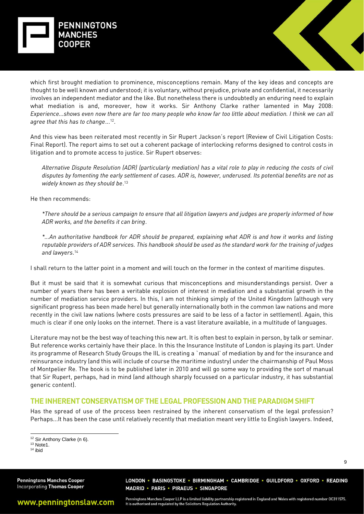

which first brought mediation to prominence, misconceptions remain. Many of the key ideas and concepts are thought to be well known and understood; it is voluntary, without prejudice, private and confidential, it necessarily involves an independent mediator and the like. But nonetheless there is undoubtedly an enduring need to explain what mediation is and, moreover, how it works. Sir Anthony Clarke rather lamented in May 2008: *Experience...shows even now there are far too many people who know far too little about mediation. I think we can all agree that this has to change*... 12 .

And this view has been reiterated most recently in Sir Rupert Jackson's report (Review of Civil Litigation Costs: Final Report). The report aims to set out a coherent package of interlocking reforms designed to control costs in litigation and to promote access to justice. Sir Rupert observes:

*Alternative Dispute Resolution (ADR) (particularly mediation) has a vital role to play in reducing the costs of civil disputes by fomenting the early settlement of cases. ADR is, however, underused. Its potential benefits are not as widely known as they should be*. 13

He then recommends:

*\*There should be a serious campaign to ensure that all litigation lawyers and judges are properly informed of how ADR works, and the benefits it can bring*.

*\*...An authoritative handbook for ADR should be prepared, explaining what ADR is and how it works and listing reputable providers of ADR services. This handbook should be used as the standard work for the training of judges and lawyers*. 14

I shall return to the latter point in a moment and will touch on the former in the context of maritime disputes.

But it must be said that it is somewhat curious that misconceptions and misunderstandings persist. Over a number of years there has been a veritable explosion of interest in mediation and a substantial growth in the number of mediation service providers. In this, I am not thinking simply of the United Kingdom (although very significant progress has been made here) but generally internationally both in the common law nations and more recently in the civil law nations (where costs pressures are said to be less of a factor in settlement). Again, this much is clear if one only looks on the internet. There is a vast literature available, in a multitude of languages.

Literature may not be the best way of teaching this new art. It is often best to explain in person, by talk or seminar. But reference works certainly have their place. In this the Insurance Institute of London is playing its part. Under its programme of Research Study Groups the IIL is creating a `manual' of mediation by and for the insurance and reinsurance industry (and this will include of course the maritime industry) under the chairmanship of Paul Moss of Montpelier Re. The book is to be published later in 2010 and will go some way to providing the sort of manual that Sir Rupert, perhaps, had in mind (and although sharply focussed on a particular industry, it has substantial generic content).

### **THE INHERENT CONSERVATISM OF THE LEGAL PROFESSION AND THE PARADIGM SHIFT**

Has the spread of use of the process been restrained by the inherent conservatism of the legal profession? Perhaps...It has been the case until relatively recently that mediation meant very little to English lawyers. Indeed,

www.penningtonslaw.com

**Penningtons Manches Cooper Incorporating Thomas Cooper**  LONDON · BASINGSTOKE · BIRMINGHAM · CAMBRIDGE · GUILDFORD · OXFORD · READING **MADRID · PARIS · PIRAEUS · SINGAPORE** 

 $\overline{a}$ <sup>12</sup> Sir Anthony Clarke (n 6).

<sup>&</sup>lt;sup>13</sup> Note1.

<sup>14</sup> ibid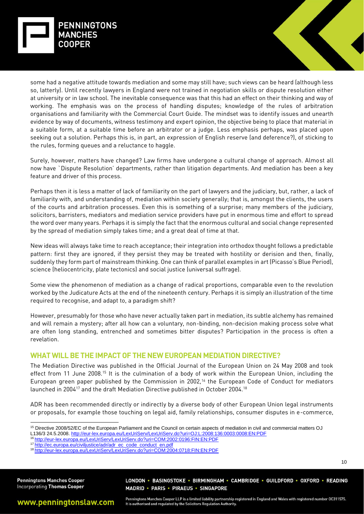

some had a negative attitude towards mediation and some may still have; such views can be heard (although less so, latterly). Until recently lawyers in England were not trained in negotiation skills or dispute resolution either at university or in law school. The inevitable consequence was that this had an effect on their thinking and way of working. The emphasis was on the process of handling disputes; knowledge of the rules of arbitration organisations and familiarity with the Commercial Court Guide. The mindset was to identify issues and unearth evidence by way of documents, witness testimony and expert opinion, the objective being to place that material in a suitable form, at a suitable time before an arbitrator or a judge. Less emphasis perhaps, was placed upon seeking out a solution. Perhaps this is, in part, an expression of English reserve (and deference?), of sticking to the rules, forming queues and a reluctance to haggle.

Surely, however, matters have changed? Law firms have undergone a cultural change of approach. Almost all now have `Dispute Resolution' departments, rather than litigation departments. And mediation has been a key feature and driver of this process.

Perhaps then it is less a matter of lack of familiarity on the part of lawyers and the judiciary, but, rather, a lack of familiarity with, and understanding of, mediation within society generally; that is, amongst the clients, the users of the courts and arbitration processes. Even this is something of a surprise; many members of the judiciary, solicitors, barristers, mediators and mediation service providers have put in enormous time and effort to spread the word over many years. Perhaps it is simply the fact that the enormous cultural and social change represented by the spread of mediation simply takes time; and a great deal of time at that.

New ideas will always take time to reach acceptance; their integration into orthodox thought follows a predictable pattern: first they are ignored, if they persist they may be treated with hostility or derision and then, finally, suddenly they form part of mainstream thinking. One can think of parallel examples in art (Picasso's Blue Period), science (heliocentricity, plate tectonics) and social justice (universal suffrage).

Some view the phenomenon of mediation as a change of radical proportions, comparable even to the revolution worked by the Judicature Acts at the end of the nineteenth century. Perhaps it is simply an illustration of the time required to recognise, and adapt to, a paradigm shift?

However, presumably for those who have never actually taken part in mediation, its subtle alchemy has remained and will remain a mystery; after all how can a voluntary, non-binding, non-decision making process solve what are often long standing, entrenched and sometimes bitter disputes? Participation in the process is often a revelation.

### **WHAT WILL BE THE IMPACT OF THE NEW EUROPEAN MEDIATION DIRECTIVE?**

The Mediation Directive was published in the Official Journal of the European Union on 24 May 2008 and took effect from 11 June 2008.<sup>15</sup> It is the culmination of a body of work within the European Union, including the European green paper published by the Commission in 2002,<sup>16</sup> the European Code of Conduct for mediators launched in 2004<sup>17</sup> and the draft Mediation Directive published in October 2004.<sup>18</sup>

ADR has been recommended directly or indirectly by a diverse body of other European Union legal instruments or proposals, for example those touching on legal aid, family relationships, consumer disputes in e-commerce,

www.penningtonslaw.com

LONDON . BASINGSTOKE . BIRMINGHAM . CAMBRIDGE . GUILDFORD . OXFORD . READING **MADRID · PARIS · PIRAEUS · SINGAPORE** 

 $\overline{a}$ <sup>15</sup> Directive 2008/52/EC of the European Parliament and the Council on certain aspects of mediation in civil and commercial matters OJ L136/3 24.5.2008[. http://eur-lex.europa.eu/LexUriServ/LexUriServ.do?uri=OJ:L:2008:136:0003:0008:EN:PDF](http://eur-lex.europa.eu/LexUriServ/LexUriServ.do?uri=OJ:L:2008:136:0003:0008:EN:PDF)

<sup>16</sup> <http://eur-lex.europa.eu/LexUriServ/LexUriServ.do?uri=COM:2002:0196:FIN:EN:PDF>

<sup>17</sup> [http://ec.europa.eu/civiljustice/adr/adr\\_ec\\_code\\_conduct\\_en.pdf](http://ec.europa.eu/civiljustice/adr/adr_ec_code_conduct_en.pdf)

<sup>18</sup> <http://eur-lex.europa.eu/LexUriServ/LexUriServ.do?uri=COM:2004:0718:FIN:EN:PDF>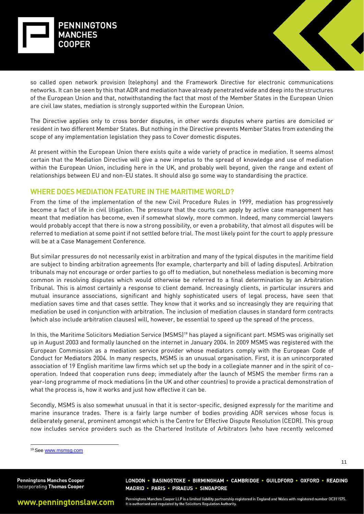

so called open network provision (telephony) and the Framework Directive for electronic communications networks. It can be seen by this that ADR and mediation have already penetrated wide and deep into the structures of the European Union and that, notwithstanding the fact that most of the Member States in the European Union are civil law states, mediation is strongly supported within the European Union.

The Directive applies only to cross border disputes, in other words disputes where parties are domiciled or resident in two different Member States. But nothing in the Directive prevents Member States from extending the scope of any implementation legislation they pass to Cover domestic disputes.

At present within the European Union there exists quite a wide variety of practice in mediation. It seems almost certain that the Mediation Directive will give a new impetus to the spread of knowledge and use of mediation within the European Union, including here in the UK, and probably well beyond, given the range and extent of relationships between EU and non-EU states. It should also go some way to standardising the practice.

### **WHERE DOES MEDIATION FEATURE IN THE MARITIME WORLD?**

From the time of the implementation of the new Civil Procedure Rules in 1999, mediation has progressively become a fact of life in civil litigation. The pressure that the courts can apply by active case management has meant that mediation has become, even if somewhat slowly, more common. Indeed, many commercial lawyers would probably accept that there is now a strong possibility, or even a probability, that almost all disputes will be referred to mediation at some point if not settled before trial. The most likely point for the court to apply pressure will be at a Case Management Conference.

But similar pressures do not necessarily exist in arbitration and many of the typical disputes in the maritime field are subject to binding arbitration agreements (for example, charterparty and bill of lading disputes). Arbitration tribunals may not encourage or order parties to go off to mediation, but nonetheless mediation is becoming more common in resolving disputes which would otherwise be referred to a final determination by an Arbitration Tribunal. This is almost certainly a response to client demand. Increasingly clients, in particular insurers and mutual insurance associations, significant and highly sophisticated users of legal process, have seen that mediation saves time and that cases settle. They know that it works and so increasingly they are requiring that mediation be used in conjunction with arbitration. The inclusion of mediation clauses in standard form contracts (which also include arbitration clauses) will, however, be essential to speed up the spread of the process.

In this, the Maritime Solicitors Mediation Service (MSMS)<sup>19</sup> has played a significant part. MSMS was originally set up in August 2003 and formally launched on the internet in January 2004. In 2009 MSMS was registered with the European Commission as a mediation service provider whose mediators comply with the European Code of Conduct for Mediators 2004. In many respects, MSMS is an unusual organisation. First, it is an unincorporated association of 19 English maritime law firms which set up the body in a collegiate manner and in the spirit of cooperation. Indeed that cooperation runs deep; immediately after the launch of MSMS the member firms ran a year-long programme of mock mediations (in the UK and other countries) to provide a practical demonstration of what the process is, how it works and just how effective it can be.

Secondly, MSMS is also somewhat unusual in that it is sector-specific, designed expressly for the maritime and marine insurance trades. There is a fairly large number of bodies providing ADR services whose focus is deliberately general, prominent amongst which is the Centre for Effective Dispute Resolution (CEDR). This group now includes service providers such as the Chartered Institute of Arbitrators (who have recently welcomed

 $\overline{a}$ 

**Penningtons Manches Cooper Incorporating Thomas Cooper** 

www.penningtonslaw.com

LONDON . BASINGSTOKE . BIRMINGHAM . CAMBRIDGE . GUILDFORD . OXFORD . READING **MADRID · PARIS · PIRAEUS · SINGAPORE** 

11

<sup>19</sup> See [www.msmsg.com](http://www.msmsg.com/)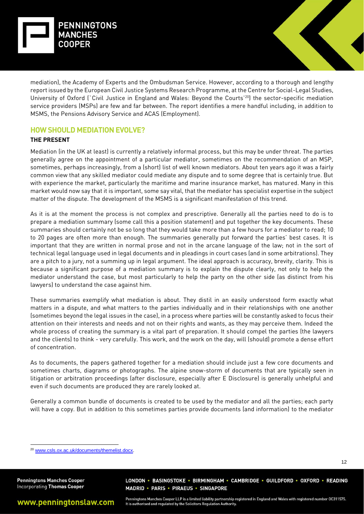



mediation), the Academy of Experts and the Ombudsman Service. However, according to a thorough and lengthy report issued by the European Civil Justice Systems Research Programme, at the Centre for Social-Legal Studies, University of Oxford (`Civil Justice in England and Wales: Beyond the Courts'20) the sector-specific mediation service providers (MSPs) are few and far between. The report identifies a mere handful including, in addition to MSMS, the Pensions Advisory Service and ACAS (Employment).

### **HOW SHOULD MEDIATION EVOLVE?**

#### **THE PRESENT**

Mediation (in the UK at least) is currently a relatively informal process, but this may be under threat. The parties generally agree on the appointment of a particular mediator, sometimes on the recommendation of an MSP, sometimes, perhaps increasingly, from a (short) list of well known mediators. About ten years ago it was a fairly common view that any skilled mediator could mediate any dispute and to some degree that is certainly true. But with experience the market, particularly the maritime and marine insurance market, has matured. Many in this market would now say that it is important, some say vital, that the mediator has specialist expertise in the subject matter of the dispute. The development of the MSMS is a significant manifestation of this trend.

As it is at the moment the process is not complex and prescriptive. Generally all the parties need to do is to prepare a mediation summary (some call this a position statement) and put together the key documents. These summaries should certainly not be so long that they would take more than a few hours for a mediator to read; 10 to 20 pages are often more than enough. The summaries generally put forward the parties' best cases. It is important that they are written in normal prose and not in the arcane language of the law; not in the sort of technical legal language used in legal documents and in pleadings in court cases (and in some arbitrations). They are a pitch to a jury, not a summing up in legal argument. The ideal approach is accuracy, brevity, clarity. This is because a significant purpose of a mediation summary is to explain the dispute clearly, not only to help the mediator understand the case, but most particularly to help the party on the other side (as distinct from his lawyers) to understand the case against him.

These summaries exemplify what mediation is about. They distil in an easily understood form exactly what matters in a dispute, and what matters to the parties individually and in their relationships with one another (sometimes beyond the legal issues in the case), in a process where parties will be constantly asked to focus their attention on their interests and needs and not on their rights and wants, as they may perceive them. Indeed the whole process of creating the summary is a vital part of preparation. It should compel the parties (the lawyers and the clients) to think - very carefully. This work, and the work on the day, will (should) promote a dense effort of concentration.

As to documents, the papers gathered together for a mediation should include just a few core documents and sometimes charts, diagrams or photographs. The alpine snow-storm of documents that are typically seen in litigation or arbitration proceedings (after disclosure, especially after E Disclosure) is generally unhelpful and even if such documents are produced they are rarely looked at.

Generally a common bundle of documents is created to be used by the mediator and all the parties; each party will have a copy. But in addition to this sometimes parties provide documents (and information) to the mediator

www.penningtonslaw.com

LONDON . BASINGSTOKE . BIRMINGHAM . CAMBRIDGE . GUILDFORD . OXFORD . READING **MADRID · PARIS · PIRAEUS · SINGAPORE** 

 $\overline{a}$ <sup>20</sup> [www.csls.ox.ac.uk/documents/themelist.docx.](http://www.csls.ox.ac.uk/documents/themelist.docx)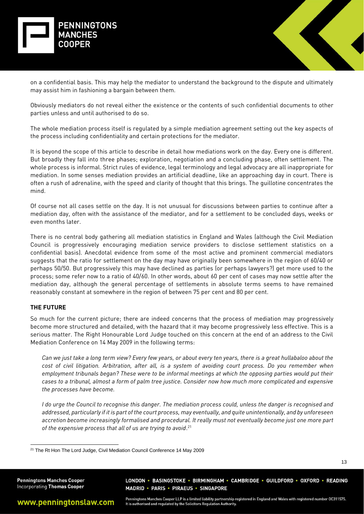

on a confidential basis. This may help the mediator to understand the background to the dispute and ultimately may assist him in fashioning a bargain between them.

Obviously mediators do not reveal either the existence or the contents of such confidential documents to other parties unless and until authorised to do so.

The whole mediation process itself is regulated by a simple mediation agreement setting out the key aspects of the process including confidentiality and certain protections for the mediator.

It is beyond the scope of this article to describe in detail how mediations work on the day. Every one is different. But broadly they fall into three phases; exploration, negotiation and a concluding phase, often settlement. The whole process is informal. Strict rules of evidence, legal terminology and legal advocacy are all inappropriate for mediation. In some senses mediation provides an artificial deadline, like an approaching day in court. There is often a rush of adrenaline, with the speed and clarity of thought that this brings. The guillotine concentrates the mind.

Of course not all cases settle on the day. It is not unusual for discussions between parties to continue after a mediation day, often with the assistance of the mediator, and for a settlement to be concluded days, weeks or even months later.

There is no central body gathering all mediation statistics in England and Wales (although the Civil Mediation Council is progressively encouraging mediation service providers to disclose settlement statistics on a confidential basis). Anecdotal evidence from some of the most active and prominent commercial mediators suggests that the ratio for settlement on the day may have originally been somewhere in the region of 60/40 or perhaps 50/50. But progressively this may have declined as parties (or perhaps lawyers?) get more used to the process; some refer now to a ratio of 40/60. In other words, about 60 per cent of cases may now settle after the mediation day, although the general percentage of settlements in absolute terms seems to have remained reasonably constant at somewhere in the region of between 75 per cent and 80 per cent.

#### **THE FUTURE**

So much for the current picture; there are indeed concerns that the process of mediation may progressively become more structured and detailed, with the hazard that it may become progressively less effective. This is a serious matter. The Right Honourable Lord Judge touched on this concern at the end of an address to the Civil Mediation Conference on 14 May 2009 in the following terms:

*Can we just take a long term view? Every few years, or about every ten years, there is a great hullabaloo about the cost of civil litigation. Arbitration, after all, is a system of avoiding court process. Do you remember when employment tribunals began? These were to be informal meetings at which the opposing parties would put their cases to a tribunal, almost a form of palm tree justice. Consider now how much more complicated and expensive the processes have become.*

*I do urge the Council to recognise this danger. The mediation process could, unless the danger is recognised and addressed, particularly if it is part of the court process, may eventually, and quite unintentionally, and by unforeseen accretion become increasingly formalised and procedural. It really must not eventually become just one more part of the expensive process that all of us are trying to avoid*. 21

www.penningtonslaw.com

LONDON . BASINGSTOKE . BIRMINGHAM . CAMBRIDGE . GUILDFORD . OXFORD . READING **MADRID · PARIS · PIRAEUS · SINGAPORE** 

 $\overline{a}$ <sup>21</sup> The Rt Hon The Lord Judge, Civil Mediation Council Conference 14 May 2009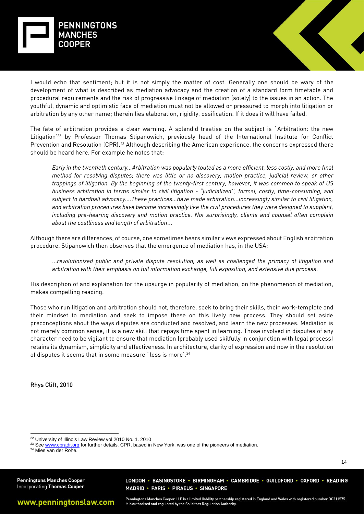

I would echo that sentiment; but it is not simply the matter of cost. Generally one should be wary of the development of what is described as mediation advocacy and the creation of a standard form timetable and procedural requirements and the risk of progressive linkage of mediation (solely) to the issues in an action. The youthful, dynamic and optimistic face of mediation must not be allowed or pressured to morph into litigation or arbitration by any other name; therein lies elaboration, rigidity, ossification. If it does it will have failed.

The fate of arbitration provides a clear warning. A splendid treatise on the subject is `Arbitration: the new Litigation'<sup>22</sup> by Professor Thomas Stipanowich, previously head of the International Institute for Conflict Prevention and Resolution (CPR).<sup>23</sup> Although describing the American experience, the concerns expressed there should be heard here. For example he notes that:

*Early in the twentieth century...Arbitration was popularly touted as a more efficient, less costly, and more final method for resolving disputes; there was little or no discovery, motion practice, judicial review, or other trappings of litigation. By the beginning of the twenty-first century, however, it was common to speak of US business arbitration in terms similar to civil litigation - "judicialized'', formal, costly, time-consuming, and subject to hardball advocacy....These practices...have made arbitration...increasingly similar to civil litigation, and arbitration procedures have become increasingly like the civil procedures they were designed to supplant, including pre-hearing discovery and motion practice. Not surprisingly, clients and counsel often complain about the costliness and length of arbitration*...

Although there are differences, of course, one sometimes hears similar views expressed about English arbitration procedure. Stipanowich then observes that the emergence of mediation has, in the USA:

...*revolutionized public and private dispute resolution, as well as challenged the primacy of litigation and arbitration with their emphasis on full information exchange, full exposition, and extensive due process*.

His description of and explanation for the upsurge in popularity of mediation, on the phenomenon of mediation, makes compelling reading.

Those who run litigation and arbitration should not, therefore, seek to bring their skills, their work-template and their mindset to mediation and seek to impose these on this lively new process. They should set aside preconceptions about the ways disputes are conducted and resolved, and learn the new processes. Mediation is not merely common sense; it is a new skill that repays time spent in learning. Those involved in disputes of any character need to be vigilant to ensure that mediation (probably used skilfully in conjunction with legal process) retains its dynamism, simplicity and effectiveness. In architecture, clarity of expression and now in the resolution of disputes it seems that in some measure `less is more'.<sup>24</sup>

Rhys Clift, 2010

 $\overline{a}$ 

**Penningtons Manches Cooper Incorporating Thomas Cooper** 

www.penningtonslaw.com

LONDON . BASINGSTOKE . BIRMINGHAM . CAMBRIDGE . GUILDFORD . OXFORD . READING **MADRID · PARIS · PIRAEUS · SINGAPORE** 

<sup>&</sup>lt;sup>22</sup> University of Illinois Law Review vol 2010 No. 1. 2010

<sup>&</sup>lt;sup>23</sup> See [www.cpradr.org](http://www.cpradr.org/) for further details. CPR, based in New York, was one of the pioneers of mediation.

<sup>&</sup>lt;sup>24</sup> Mies van der Rohe.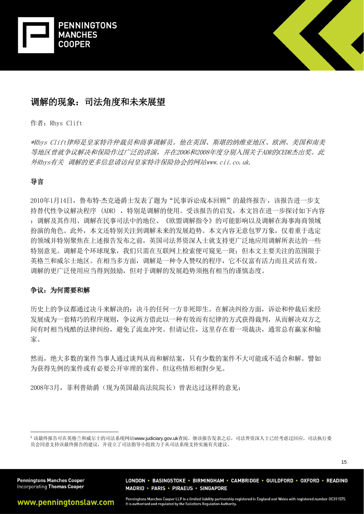



# 调解的现象:司法角度和未来展望

作者: Rhys Clift

\*Rhys Clift律师是皇家特许仲裁员和商事调解员。他在英国、斯堪的纳维亚地区、欧洲、美国和南美 等地区曾就争议解决和保险作过广泛的讲演,并在2006和2008年度分别入围关于ADR的CEDR杰出奖。此 外Rhys有关 调解的更多信息请访问皇家特许保险协会的网站[www.cii.co.uk.](http://www.cii.co.uk/)

# 导言

2010年1月14日, 鲁布特·杰克逊爵士发表了题为"民事诉讼成本回顾"的最终报告, 该报告讲一步支 持替代性争议解决程序 (ADR) ,特别是调解的使用。受该报告的启发,本文旨在进一步探讨如下内容 :调解及其作用、调解在民事司法中的地位、《欧盟调解指令》的可能影响以及调解在海事海商领域 扮演的角色。此外,本文还特别关注到调解未来的发展趋势。本文内容无意包罗万象,仅着重于选定 的领域并特别聚焦在上述报告发布之前,英国司法界资深人士就支持更广泛地应用调解所表达的一些 特别意见。调解是个环球现象,我们只需在互联网上检索便可窥见一斑;但本文主要关注的范围限于 英格兰和威尔士地区。在相当多方面,调解是一种令人赞叹的程序,它不仅富有活力而且灵活有效。 调解的更广泛使用应当得到鼓励,但对于调解的发展趋势须抱有相当的谨慎态度。

### 争议:为何需要和解

历史上的争议都通过决斗来解决的:决斗的任何一方非死即生。在解决纠纷方面,诉讼和仲裁后来经 发展成为一套精巧的程序规则,争议两方借此以一种有效而有纪律的方式获得裁判,从而解决双方之 间有时相当残酷的法律纠纷,避免了流血冲突。但请记住,这里存在着一项裁决,通常总有赢家和输 家。

然而,绝大多数的案件当事人通过谈判从而和解结案,只有少数的案件不大可能或不适合和解。譬如 为获得先例的案件或有必要公开审理的案件。但这些情形相對少见。

2008年3月,菲利普勋爵(现为英国最高法院院长)曾表达过这样的意见:

**Penningtons Manches Cooper Incorporating Thomas Cooper** 

www.penningtonslaw.com

LONDON · BASINGSTOKE · BIRMINGHAM · CAMBRIDGE · GUILDFORD · OXFORD · READING **MADRID · PARIS · PIRAEUS · SINGAPORE** 

<sup>1</sup> 该最终报告可在英格兰和威尔士的司法系统网站[www.judiciary.gov.uk](http://www.judiciary.gov.uk/??/)查阅。继该报告发表之后,司法界资深人士已经考虑过回应。司法执行委 员会同意支持该最终报告的建议,并设立了司法指导小组致力于从司法系统支持实施有关建议。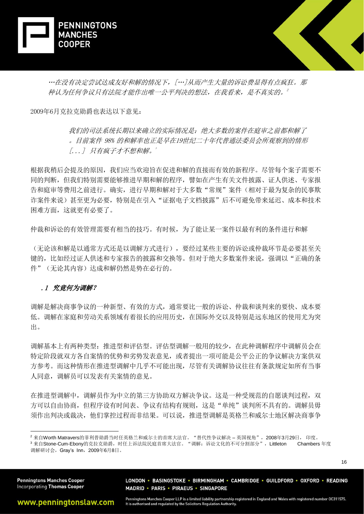



…在没有决定尝试达成友好和解的情况下,[…]从而产生大量的诉讼费显得有点疯狂。那 种认为任何争议只有法院才能作出唯一公平判决的想法,在我看来,是不真实的。 2

2009年6月克拉克勋爵也表达以下意见:

我们的司法系统长期以来确立的实际情况是:绝大多数的案件在庭审之前都和解了 。目前案件 98% 的和解率也正是早在19世纪二十年代普通法委员会所观察到的情形 [...] 只有疯子才不想和解。"

根据我稍后会提及的原因,我们应当欢迎旨在促进和解的直接而有效的新程序。尽管每个案子需要不 同的判断,但我们特别需要能够推进早期和解的程序,譬如在产生有关文件披露、证人供述、专家报 告和庭审等费用之前进行。确实,进行早期和解对于大多数"常规"案件(相对于最为复杂的民事欺 诈案件来说)甚至更为必要,特别是在引入"证据电子文档披露"后不可避免带来延迟、成本和技术 困难方面,这就更有必要了。

仲裁和诉讼的有效管理需要有相当的技巧。有时候,为了能让某一案件以最有利的条件进行和解

(无论该和解是以通常方式还是以调解方式进行),要经过某些主要的诉讼或仲裁环节是必要甚至关 键的,比如经过证人供述和专家报告的披露和交换等。但对于绝大多数案件来说,强调以"正确的条 件"(无论其内容)达成和解仍然是势在必行的。

### .1 究竟何为调解?

调解是解决商事争议的一种新型、有效的方式,通常要比一般的诉讼、仲裁和谈判来的要快、成本要 低。调解在家庭和劳动关系领域有着很长的应用历史,在国际外交以及特别是远东地区的使用尤为突 出。

调解基本上有两种类型:推进型和评估型。评估型调解一般用的较少,在此种调解程序中调解员会在 特定阶段就双方各自案情的优势和劣势发表意见,或者提出一项可能是公平公正的争议解决方案供双 方参考。而这种情形在推进型调解中几乎不可能出现,尽管有关调解协议往往有条款规定如所有当事 人同意,调解员可以发表有关案情的意见。

在推进型调解中,调解员作为中立的第三方协助双方解决争议。这是一种受规范的自愿谈判过程,双 方可以自由协商,但程序设有时间表、争议有结构有规则,这是"单纯"谈判所不具有的。调解员毋 须作出判决或裁决,他们掌控过程而非结果。可以说,推进型调解是英格兰和威尔士地区解决商事争

**Penningtons Manches Cooper Incorporating Thomas Cooper** 

www.penningtonslaw.com

LONDON . BASINGSTOKE . BIRMINGHAM . CAMBRIDGE . GUILDFORD . OXFORD . READING **MADRID · PARIS · PIRAEUS · SINGAPORE** 

 <sup>2</sup> 来自Worth Matravers的菲利普勋爵当时任英格兰和威尔士的首席大法官。"替代性争议解决 – 英国视角", 2008年3月29日, 印度。

<sup>&</sup>lt;sup>3</sup> 来自Stone-Cum-Ebony的克拉克勋爵,时任上诉法院民庭首席大法官。"调解:诉讼文化的不可分割部分",Littleton Chambers 年度 调解研讨会,Gray's Inn,2009年6月8日。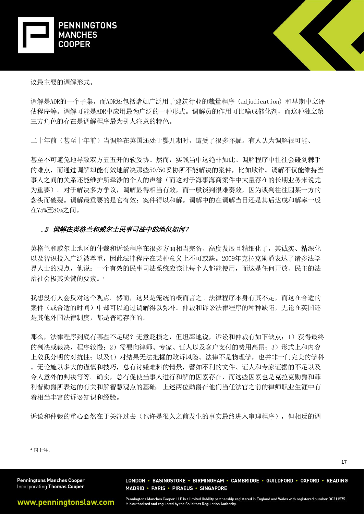

议最主要的调解形式。

调解是ADR的一个子集,而ADR还包括诸如广泛用于建筑行业的裁量程序 (adjudication) 和早期中立评 估程序等。调解可能是ADR中应用最为广泛的一种形式。调解员的作用可比喻成催化剂,而这种独立第 三方角色的存在是调解程序最为引人注意的特色。

二十年前(甚至十年前)当调解在英国还处于婴儿期时,遭受了很多怀疑。有人认为调解很可能、

甚至不可避免地导致双方五五开的软妥协。然而,实践当中这绝非如此。调解程序中往往会碰到棘手 的难点,而通过调解却能有效地解决那些50/50妥协所不能解决的案件,比如欺诈。调解不仅能维持当 事人之间的关系还能维护所牵涉的个人的声誉(而这对于海事海商案件中大量存在的长期业务来说尤 为重要)。对于解决多方争议,调解显得相当有效,而一般谈判很难奏效,因为谈判往往因某一方的 念头而破裂。调解最重要的是它有效:案件得以和解。调解中的在调解当日还是其后达成和解率一般 在75%至80%之间。

### .2 调解在英格兰和威尔士民事司法中的地位如何?

英格兰和威尔士地区的仲裁和诉讼程序在很多方面相当完备、高度发展且精细化了,其诚实、精深化 以及智识投入广泛被尊重,因此法律程序在某种意义上不可或缺。2009年克拉克勋爵表达了诸多法学 界人士的观点,他说:一个有效的民事司法系统应该让每个人都能使用,而这是任何开放、民主的法 治社会极其关键的要素。<sup>4</sup>

我想没有人会反对这个观点。然而,这只是笼统的概而言之。法律程序本身有其不足,而这在合适的 案件(或合适的时间)中却可以通过调解得以弥补。仲裁和诉讼法律程序的种种缺陷,无论在英国还 是其他外国法律制度,都是普遍存在的。

那么,法律程序到底有哪些不足呢?无意贬损之,但坦率地说,诉讼和仲裁有如下缺点: 1)获得最终 的判决或裁决,程序较慢;2)需要向律师、专家、证人以及客户支付的费用高昂;3)形式上和内容 上敌我分明的对抗性;以及4)对结果无法把握的败诉风险。法律不是物理学,也并非一门完美的学科 。无论施以多大的谨慎和技巧,总有讨嫌难料的情景,譬如不利的文件、证人和专家证据的不足以及 令人意外的判决等等。确实,总有促使当事人进行和解的因素存在,而这些因素也是克拉克勋爵和菲 利普勋爵所表达的有关和解智慧观点的基础。上述两位勋爵在他们当任法官之前的律师职业生涯中有 着相当丰富的诉讼知识和经验。

诉讼和仲裁的重心必然在于关注过去(也许是很久之前发生的事实最终进入审理程序),但相反的调

<sup>4</sup> 同上注。

**Penningtons Manches Cooper Incorporating Thomas Cooper** 

www.penningtonslaw.com

LONDON · BASINGSTOKE · BIRMINGHAM · CAMBRIDGE · GUILDFORD · OXFORD · READING **MADRID · PARIS · PIRAEUS · SINGAPORE**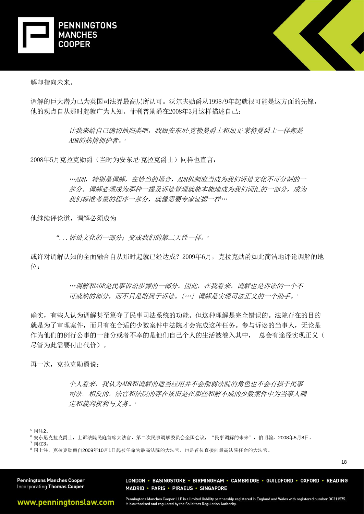

解却指向未来。

调解的巨大潜力已为英国司法界最高层所认可。沃尔夫勋爵从1998/9年起就很可能是这方面的先锋, 他的观点自从那时起就广为人知。菲利普勋爵在2008年3月这样描述自己:

> 让我来给自己确切地归类吧,我跟安东尼·克勒曼爵士和加文·莱特曼爵士一样都是 ADR的热情拥护者。

2008年5月克拉克勋爵(当时为安东尼‧克拉克爵士)同样也直言:

…ADR,特别是调解,在恰当的场合,ADR机制应当成为我们诉讼文化不可分割的一 部分。调解必须成为那种一提及诉讼管理就能本能地成为我们词汇的一部分,成为 我们标准考量的程序一部分,就像需要专家证据一样…

他继续评论道,调解必须成为

"... 诉讼文化的一部分; 变成我们的第二天性一样。

或许对调解认知的全面融合自从那时起就已经达成?2009年6月,克拉克勋爵如此简洁地评论调解的地 位:

> …调解和ADR是民事诉讼步骤的一部分。因此,在我看来,调解也是诉讼的一个不 可或缺的部分,而不只是附属于诉讼。[…] 调解是实现司法正义的一个助手。

确实,有些人认为调解甚至篡夺了民事司法系统的功能。但这种理解是完全错误的。法院存在的目的 就是为了审理案件,而只有在合适的少数案件中法院才会完成这种任务。参与诉讼的当事人,无论是 作为他们的例行公事的一部分或者不幸的是他们自己个人的生活被卷入其中, 总会有途径实现正义( 尽管为此需要付出代价)。

再一次,克拉克勋爵说:

个人看来,我认为ADR和调解的适当应用并不会削弱法院的角色也不会有损于民事 司法。相反的,法官和法院的存在依旧是在那些和解不成的少数案件中为当事人确 定和裁判权利与义务。

<sup>5</sup> 同注2。

**Penningtons Manches Cooper Incorporating Thomas Cooper** 

LONDON · BASINGSTOKE · BIRMINGHAM · CAMBRIDGE · GUILDFORD · OXFORD · READING **MADRID · PARIS · PIRAEUS · SINGAPORE** 

18

www.penningtonslaw.com

<sup>6</sup> 安东尼克拉克爵士,上诉法院民庭首席大法官,第二次民事调解委员会全国会议, "民事调解的未来",伯明翰, 2008年5月8日。

<sup>7</sup> 同注3。

<sup>8</sup> 同上注。克拉克勋爵自2009年10月1日起被任命为最高法院的大法官,也是首位直接向最高法院任命的大法官。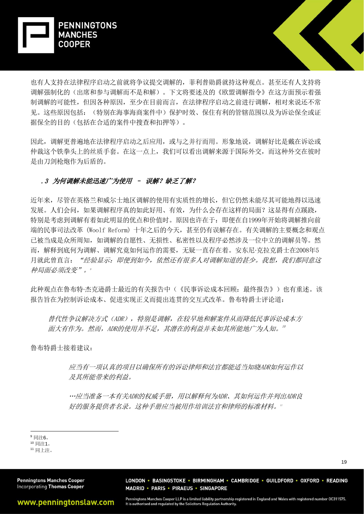



也有人支持在法律程序启动之前就将争议提交调解的,菲利普勋爵就持这种观点。甚至还有人支持将 调解强制化的(出席和参与调解而不是和解)。下文将要述及的《欧盟调解指令》在这方面预示着强 制调解的可能性,但因各种原因,至少在目前而言,在法律程序启动之前进行调解,相对来说还不常 见。这些原因包括:(特别在海事海商案件中)保护时效、保住有利的管辖范围以及为诉讼保全或证 据保全的目的(包括在合适的案件中搜查和扣押等)。

因此,调解更普遍地在法律程序启动之后应用,或与之并行而用。形象地说,调解好比是戴在诉讼或 仲裁这个铁拳头上的丝质手套。在这一点上,我们可以看出调解来源于国际外交,而这种外交在彼时 是由刀剑枪炮作为后盾的。

### .3 为何调解未能迅速广为使用 - 误解? 缺乏了解?

近年来,尽管在英格兰和威尔士地区调解的使用有实质性的增长,但它仍然未能尽其可能地得以迅速 发展。人们会问,如果调解程序真的如此好用、有效,为什么会存在这样的局面?这显得有点蹊跷, 特别是考虑到调解有着如此明显的优点和价值时。原因也许在于:即便在自1999年开始将调解推向前 端的民事司法改革 (Woolf Reform) 十年之后的今天,甚至仍有误解存在。有关调解的主要概念和观点 已被当成是众所周知,如调解的自愿性、无损性、私密性以及程序必然涉及一位中立的调解员等。然 而,解释到底何为调解、调解究竟如何运作的需要,无疑一直存在着。安东尼‧克拉克爵士在2008年5 月就此曾直言:"经验显示:即便到如今,依然还有很多人对调解知道的甚少。我想,我们都同意这 种局面必须改变"。

此种观点在鲁布特‧杰克逊爵士最近的有关报告中(《民事诉讼成本回顾:最终报告》)也有重述。该 报告旨在为控制诉讼成本、促进实现正义而提出连贯的交互式改革。鲁布特爵士评论道:

替代性争议解决方式(ADR),特别是调解,在较早地和解案件从而降低民事诉讼成本方 面大有作为。然而,ADR的使用并不足,其潜在的利益并未如其所能地广为人知。"

鲁布特爵士接着建议:

应当有一项认真的项目以确保所有的诉讼律师和法官都能适当知晓ADR如何运作以 及其所能带来的利益。

…应当准备一本有关ADR的权威手册,用以解释何为ADR、其如何运作并列出ADR良 好的服务提供者名录。这种手册应当被用作培训法官和律师的标准材料。"

**Penningtons Manches Cooper Incorporating Thomas Cooper** 

www.penningtonslaw.com

LONDON · BASINGSTOKE · BIRMINGHAM · CAMBRIDGE · GUILDFORD · OXFORD · READING **MADRID · PARIS · PIRAEUS · SINGAPORE** 

 <sup>9</sup> 同注6。

<sup>10</sup> 同注1。

<sup>11</sup> 同上注。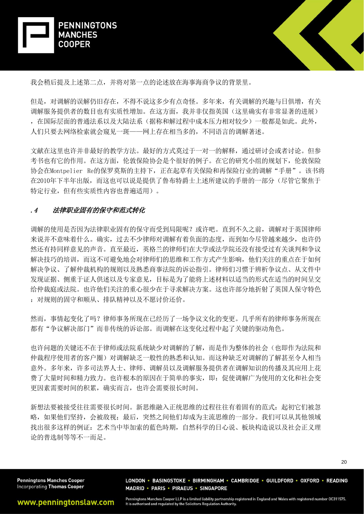



我会稍后提及上述第二点,并将对第一点的论述放在海事海商争议的背景里。

但是,对调解的误解仍旧存在,不得不说这多少有点奇怪。多年来,有关调解的兴趣与日俱增,有关 调解服务提供者的数目也有实质性增加。在这方面,我并非仅指英国(这里确实有非常显著的进展) ,在国际层面的普通法系以及大陆法系(据称和解过程中成本压力相对较少)一般都是如此。此外, 人们只要去网络检索就会窥见一斑——网上存在相当多的,不同语言的调解著述。

文献在这里也许并非最好的教学方法。最好的方式莫过于一对一的解释,通过研讨会或者讨论。但参 考书也有它的作用。在这方面,伦敦保险协会是个很好的例子。在它的研究小组的规划下,伦敦保险 协会在Montpelier Re的保罗莫斯的主持下,正在起草有关保险和再保险行业的调解"手册"。该书将 在2010年下半年出版,而这也可以说是提供了鲁布特爵士上述所建议的手册的一部分(尽管它聚焦于 特定行业,但有些实质性内容也普遍适用)。

#### .4法律职业固有的保守和范式转化

调解的使用是否因为法律职业固有的保守而受到局限呢?或许吧。直到不久之前,调解对于英国律师 来说并不意味着什么。确实,过去不少律师对调解有着负面的态度,而到如今尽管越来越少,也许仍 然还有持同样意见的声音。直至最近,英格兰的律师们在大学或法学院还没有接受过有关谈判和争议 解决技巧的培训,而这不可避免地会对律师们的思维和工作方式产生影响,他们关注的重点在于如何 解决争议、了解仲裁机构的规则以及熟悉商事法院的诉讼指引。律师们习惯于辨析争议点、从文件中 发现证据、侧重于证人供述以及专家意见,目标是为了能将上述材料以适当的形式在适当的时间呈交 给仲裁庭或法院。也许他们关注的重心很少在于寻求解决方案。这也许部分地折射了英国人保守特色 :对规则的固守和顺从、排队精神以及不愿讨价还价。

然而,事情起变化了吗?律师事务所现在已经历了一场争议文化的变更。几乎所有的律师事务所现在 都有"争议解决部门"而非传统的诉讼部。而调解在这变化过程中起了关键的驱动角色。

也许问题的关键还不在于律师或法院系统缺少对调解的了解,而是作为整体的社会(也即作为法院和 仲裁程序使用者的客户圈)对调解缺乏一般性的熟悉和认知。而这种缺乏对调解的了解甚至令人相当 意外。多年来,许多司法界人士、律师、调解员以及调解服务提供者在调解知识的传播及其应用上花 费了大量时间和精力致力。也许根本的原因在于简单的事实,即:促使调解广为使用的文化和社会变 更因素需要时间的积累,确实而言,也许会需要很长时间。

新想法要被接受往往需要很长时间。新思维融入正统思维的过程往往有着固有的范式:起初它们被忽 略,如果他们坚持,会被敌视;最后,突然之间他们却成为主流思维的一部分。我们可以从其他领域 找出很多这样的例证:艺术当中毕加索的藍色時期,自然科学的日心说、板块构造说以及社会正义理 论的普选制等等不一而足。

**Penningtons Manches Cooper Incorporating Thomas Cooper** 

www.penningtonslaw.com

LONDON · BASINGSTOKE · BIRMINGHAM · CAMBRIDGE · GUILDFORD · OXFORD · READING **MADRID · PARIS · PIRAEUS · SINGAPORE**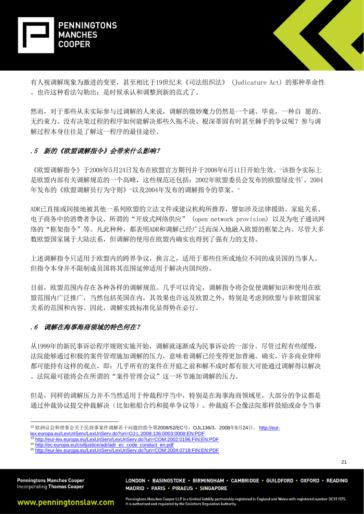



有人视调解现象为激进的变更,甚至相比于19世纪末《司法组织法》 (Judicature Act) 的那种革命性 。也许这种看法勾勒出:是时候承认和调整到新的范式了。

然而,对于那些从未实际参与过调解的人来说,调解的微妙魔力仍然是一个谜。毕竟,一种自 愿的、 无约束力、没有决策过程的程序如何能解决那些久拖不决、根深蒂固有时甚至棘手的争议呢?参与调 解过程本身往往是了解这一程序的最佳途径。

### .5 新的《欧盟调解指令》会带来什么影响?

《欧盟调解指令》于2008年5月24日发布在欧盟官方期刊并于2008年6月11日开始生效。2该指令实际上 是欧盟内部有关调解规范的一个高峰,这些规范还包括: 2002年欧盟委员会发布的欧盟绿皮书"、2004 年发布的《欧盟调解员行为守则》"以及2004年发布的调解指令的草案。"

ADR已直接或间接地被其他一系列欧盟的立法文件或建议机构所推荐,譬如涉及法律援助、家庭关系、 电子商务中的消费者争议、所谓的"开放式网络供应" (open network provision) 以及为电子通讯网 络的"框架指令"等。凡此种种,都表明ADR和调解已经广泛而深入地融入欧盟的框架之内。尽管大多 数欧盟国家属于大陆法系,但调解的使用在欧盟内确实也得到了强有力的支持。

上述调解指令只适用于欧盟内的跨界争议,换言之,适用于那些住所或地位不同的成员国的当事人。 但指令本身并不限制成员国将其范围延伸适用于解决内国纠纷。

目前,欧盟范围内存在各种各样的调解规范。几乎可以肯定,调解指令将会促使调解知识和使用在欧 盟范围内广泛推广,当然包括英国在内,其效果也许远及欧盟之外,特别是考虑到欧盟与非欧盟国家 关系的范围和内容。因此,调解实践标准化显得势在必行。

### .6 调解在海事海商领域的特色何在?

从1999年的新民事诉讼程序规则实施开始,调解就逐渐成为民事诉讼的一部分。尽管过程有些缓慢, 法院能够通过积极的案件管理施加调解的压力,意味着调解已经变得更加普遍。确实,许多商业律师 都可能持有这样的观点,即:几乎所有的案件在开庭之前和解不成时都有很大可能通过调解得以解决 。法院最可能将会在所谓的"案件管理会议"这一环节施加调解的压力。

但是,同样的调解压力并不当然适用于仲裁程序当中,特别是在海事海商领域里,大部分的争议都是 通过仲裁协议提交仲裁解决(比如租船合约和提单争议等)。仲裁庭不会像法院那样鼓励或命令当事

www.penningtonslaw.com

LONDON · BASINGSTOKE · BIRMINGHAM · CAMBRIDGE · GUILDFORD · OXFORD · READING **MADRID · PARIS · PIRAEUS · SINGAPORE** 

<sup>12</sup> 欧洲议会和理事会关于民商事案件调解若干问题的指令第2008/52/EC号, OJL136/3, 2008年5月24日。 [http://eur-](http://eur-lex.europa.eu/LexUriServ/LexUriServ.do?uri=OJ:L:2008:136:0003:0008:EN:PDF)

[lex.europa.eu/LexUriServ/LexUriServ.do?uri=OJ:L:2008:136:0003:0008:EN:PDF](http://eur-lex.europa.eu/LexUriServ/LexUriServ.do?uri=OJ:L:2008:136:0003:0008:EN:PDF) <http://eur-lex.europa.eu/LexUriServ/LexUriServ.do?uri=COM:2002:0196:FIN:EN:PDF>

<sup>14</sup> [http://ec.europa.eu/civiljustice/adr/adr\\_ec\\_code\\_conduct\\_en.pdf](http://ec.europa.eu/civiljustice/adr/adr_ec_code_conduct_en.pdf)

<sup>15</sup> <http://eur-lex.europa.eu/LexUriServ/LexUriServ.do?uri=COM:2004:0718:FIN:EN:PDF>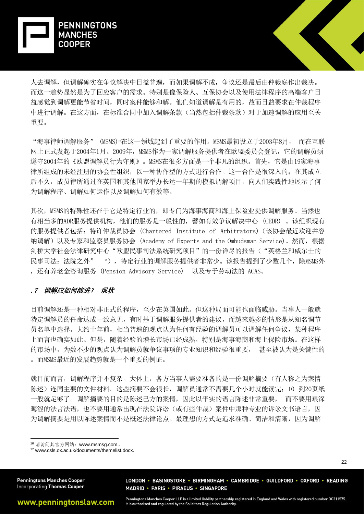



人去调解,但调解确实在争议解决中日益普遍,而如果调解不成,争议还是最后由仲裁庭作出裁决。 而这一趋势显然是为了回应客户的需求。特别是像保险人、互保协会以及使用法律程序的高端客户日 益感觉到调解更能节省时间,同时案件能够和解。他们知道调解是有用的,故而日益要求在仲裁程序 中进行调解。在这方面,在标准合同中加入调解条款(当然包括仲裁条款)对于加速调解的应用至关 重要。

"海事律师调解服务" (MSMS)"在这一领域起到了重要的作用。MSMS最初设立于2003年8月, 而在互联 网上正式发起于2004年1月。2009年, MSMS作为一家调解服务提供者在欧盟委员会登记, 它的调解员须 遵守2004年的《欧盟调解员行为守则》。MSMS在很多方面是一个非凡的组织。首先,它是由19家海事 律所组成的未经注册的协会性组织,以一种协作型的方式进行合作。这一合作是很深入的;在其成立 后不久,成员律所通过在英国和其他国家举办长达一年期的模拟调解项目,向人们实践性地展示了何 为调解程序、调解如何运作以及调解如何有效等。

其次, MSMS的特殊性还在于它是特定行业的,即专门为海事海商和海上保险业提供调解服务。当然也 有相当多的ADR服务提供机构,他们的服务是一般性的,譬如有效争议解决中心 (CEDR) 。该组织现有 的服务提供者包括:特许仲裁员协会 (Chartered Institute of Arbitrators)(该协会最近欢迎并容 纳调解)以及专家和监察员服务协会 (Academy of Experts and the Ombudsman Service)。然而,根据 剑桥大学社会法律研究中心"欧盟民事司法系统研究项目"的一份详尽的报告("英格兰和威尔士的 民事司法:法院之外" 1),特定行业的调解服务提供者非常少。该报告提到了少数几个,除MSMS外 ,还有养老金咨询服务 (Pension Advisory Service) 以及专于劳动法的 ACAS。

#### .7 调解应如何演进? 现状

目前调解还是一种相对非正式的程序,至少在英国如此。但这种局面可能也面临威胁。当事人一般就 特定调解员的任命达成一致意见,有时基于调解服务提供者的建议,而越来越多的情形是从知名调节 员名单中选择。大约十年前,相当普遍的观点认为任何有经验的调解员可以调解任何争议,某种程序 上而言也确实如此。但是,随着经验的增长市场已经成熟,特别是海事海商和海上保险市场。在这样 的市场中,为数不少的观点认为调解员就争议事项的专业知识和经验很重要, 甚至被认为是关键性的 。而MSMS最近的发展趋势就是一个重要的例证。

就目前而言,调解程序并不复杂。大体上,各方当事人需要准备的是一份调解摘要(有人称之为案情 陈述)连同主要的文件材料。这些摘要不会很长,调解员通常不需要几个小时就能读完;10 到20页纸 一般就足够了。调解摘要的目的是陈述己方的案情,因此以平实的语言陈述非常重要, 而不要用艰深 晦涩的法言法语,也不要用通常出现在法院诉讼(或有些仲裁)案件中那种专业的诉讼文书语言,因 为调解摘要是用以陈述案情而不是概述法律论点。最理想的方式是追求准确、简洁和清晰,因为调解

**Penningtons Manches Cooper Incorporating Thomas Cooper** 

www.penningtonslaw.com

LONDON · BASINGSTOKE · BIRMINGHAM · CAMBRIDGE · GUILDFORD · OXFORD · READING **MADRID · PARIS · PIRAEUS · SINGAPORE** 

<sup>16</sup> 请访问其官方网站:www.msmsg.com..

<sup>17</sup> www.csls.ox.ac.uk/documents/themelist.docx.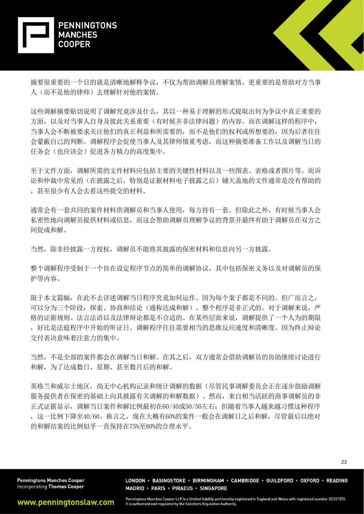

摘要很重要的一个目的就是清晰地解释争议,不仅为帮助调解员理解案情,更重要的是帮助对方当事 人(而不是他的律师)去理解针对他的案情。

这些调解摘要贴切说明了调解究竟涉及什么,其以一种易于理解的形式提取出何为争议中真正重要的 方面,以及对当事人自身及彼此关系重要(有时候并非法律问题)的内容。而在调解这样的程序中, 当事人会不断被要求关注他们的真正利益和所需要的,而不是他们的权利或所想要的,因为后者往往 会蒙蔽自己的判断。调解程序会促使当事人及其律师慎重考虑,而这种摘要准备工作以及调解当日的 任务会(也应该会)促进各方精力的高度集中。

至于文件方面,调解所需的文件材料应包括主要的关键性材料以及一些图表、表格或者图片等。而诉 讼和仲裁中常见的(在披露之后,特别是证据材料电子披露之后)铺天盖地的文件通常是没有帮助的 ,甚至很少有人会去看这些提交的材料。

通常会有一套共同的案件材料供调解员和当事人使用,每方持有一套。但除此之外,有时候当事人会 私密性地向调解员提供材料或信息,而这会帮助调解员理解争议的背景并最终有助于调解员在双方之 间促成和解。

当然,除非经披露一方授权,调解员不能将其披露的保密材料和信息向另一方披露。

整个调解程序受制于一个旨在设定程序节点的简单的调解协议,其中包括保密义务以及对调解员的保 护等内容。

限于本文篇幅,在此不去详述调解当日程序究竟如何运作。因为每个案子都是不同的。但广而言之, 可以分为三个阶段:探索、协商和结论(通称达成和解)。整个程序是非正式的。对于调解来说,严 格的证据规则、法言法语以及法律辩论都是不合适的。在某些层面来说,调解提供了一个人为的期限 ,好比是法庭程序中开始的听证日。调解程序往往需要相当的思维反应速度和清晰度。因为终止辩论 交付表决意味着注意力的集中。

当然,不是全部的案件都会在调解当日和解。在其之后,双方通常会借助调解员的协助继续讨论进行 和解,为了达成数日、星期、甚至数月后的和解。

英格兰和威尔士地区,尚无中心机构记录和统计调解的数据(尽管民事调解委员会正在逐步鼓励调解 服务提供者在保密的基础上向其披露有关调解的和解数据)。然而,来自相当活跃的商事调解员的非 正式证据显示,调解当日案件和解比例最初在60/40或50/50左右;但随着当事人越来越习惯这种程序 ,这一比例下降至40/60。换言之,现在大概有60%的案件一般会在调解日之后和解,尽管最后以绝对 的和解结案的比例似乎一直保持在75%至80%的合理水平。

**Penningtons Manches Cooper Incorporating Thomas Cooper** 

www.penningtonslaw.com

LONDON · BASINGSTOKE · BIRMINGHAM · CAMBRIDGE · GUILDFORD · OXFORD · READING **MADRID · PARIS · PIRAEUS · SINGAPORE**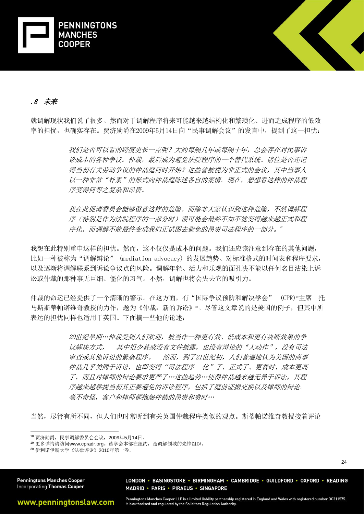



## .8 未来

就调解现状我们说了很多。然而对于调解程序将来可能越来越结构化和繁琐化、进而造成程序的低效 率的担忧,也确实存在。贾济勋爵在2009年5月14日向"民事调解会议"的发言中,提到了这一担忧:

> 我们是否可以看的跨度更长一点呢?大约每隔几年或每隔十年,总会存在对民事诉 讼成本的各种争议。仲裁,最后成为避免法院程序的一个替代系统。诸位是否还记 得当初有关劳动争议的仲裁庭何时开始?这些曾被视为非正式的会议,其中当事人 以一种非常"朴素"的形式向仲裁庭陈述各自的案情。现在,想想看这样的仲裁程 序变得何等之复杂和昂贵。

> 我在此促请委员会能够留意这样的危险。而除非大家认识到这种危险,不然调解程 序(特别是作为法院程序的一部分时)很可能会最终不知不觉变得越来越正式和程 序化。而调解不能最终变成我们正试图去避免的昂贵司法程序的一部分。"

我想在此特别重申这样的担忧。然而,这不仅仅是成本的问题。我们还应该注意到存在的其他问题, 比如一种被称为"调解辩论" (mediation advocacy) 的发展趋势、对标准格式的时间表和程序要求, 以及逐渐将调解联系到诉讼争议点的风险。调解年轻、活力和乐观的面孔决不能以任何名目沾染上诉 讼或仲裁的那种事无巨细、僵化的习气。不然,调解也将会失去它的吸引力。

仲裁的命运已经提供了一个清晰的警示。在这方面,有"国际争议预防和解决学会" (CPR) "主席 托 马斯斯蒂帕诺维奇教授的力作,题为《仲裁:新的诉讼》20。尽管这文章说的是美国的例子,但其中所 表达的担忧同样也适用于英国。下面摘一些他的论述:

> 20世纪早期…仲裁受到人们欢迎,被当作一种更有效、低成本和更有决断效果的争 议解决方式, 其中很少甚或没有文件披露,也没有辩论的"大动作",没有司法 审查或其他诉讼的繁杂程序。 然而,到了21世纪初,人们普遍地认为美国的商事 仲裁几乎类同于诉讼,也即变得"司法程序 化"了、正式了、更费时、成本更高 了,而且对律师的辩论要求更严了…这些趋势…使得仲裁越来越无异于诉讼,其程 序越来越靠拢当初其正要避免的诉讼程序,包括了庭前证据交换以及律师的辩论。 毫不奇怪,客户和律师都抱怨仲裁的昂贵和费时…

当然,尽管有所不同,但人们也时常听到有关英国仲裁程序类似的观点。斯蒂帕诺维奇教授接着评论

**Penningtons Manches Cooper Incorporating Thomas Cooper** 

www.penningtonslaw.com

LONDON · BASINGSTOKE · BIRMINGHAM · CAMBRIDGE · GUILDFORD · OXFORD · READING **MADRID · PARIS · PIRAEUS · SINGAPORE** 

24

<sup>18</sup> 贾济勋爵,民事调解委员会会议,2009年5月14日。

<sup>&</sup>lt;sup>19</sup> 更多详情请访问www.cpradr.org。该学会本部在纽约,是调解领域的先锋组织。

<sup>20</sup> 伊利诺伊斯大学《法律评论》2010年第一卷。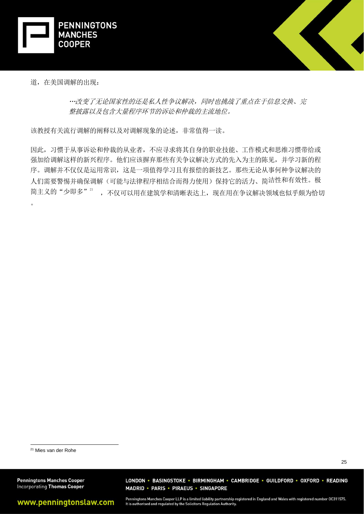



道,在美国调解的出现:

…改变了无论国家性的还是私人性争议解决,同时也挑战了重点在于信息交换、完 整披露以及包含大量程序环节的诉讼和仲裁的主流地位。

该教授有关流行调解的阐释以及对调解现象的论述,非常值得一读。

因此,习惯于从事诉讼和仲裁的从业者,不应寻求将其自身的职业技能、工作模式和思维习惯带给或 强加给调解这样的新兴程序。他们应该摒弃那些有关争议解决方式的先入为主的陈见,并学习新的程 序。调解并不仅仅是运用常识,这是一项值得学习且有报偿的新技艺。那些无论从事何种争议解决的 人们需要警惕并确保调解(可能与法律程序相结合而得力使用)保持它的活力、简洁性和有效性。极 简主义的"少即多"21,不仅可以用在建筑学和清晰表达上,现在用在争议解决领域也似乎颇为恰切  $\sim$ 

 $\overline{a}$ <sup>21</sup> Mies van der Rohe

**Penningtons Manches Cooper Incorporating Thomas Cooper** 

www.penningtonslaw.com

LONDON · BASINGSTOKE · BIRMINGHAM · CAMBRIDGE · GUILDFORD · OXFORD · READING **MADRID · PARIS · PIRAEUS · SINGAPORE**